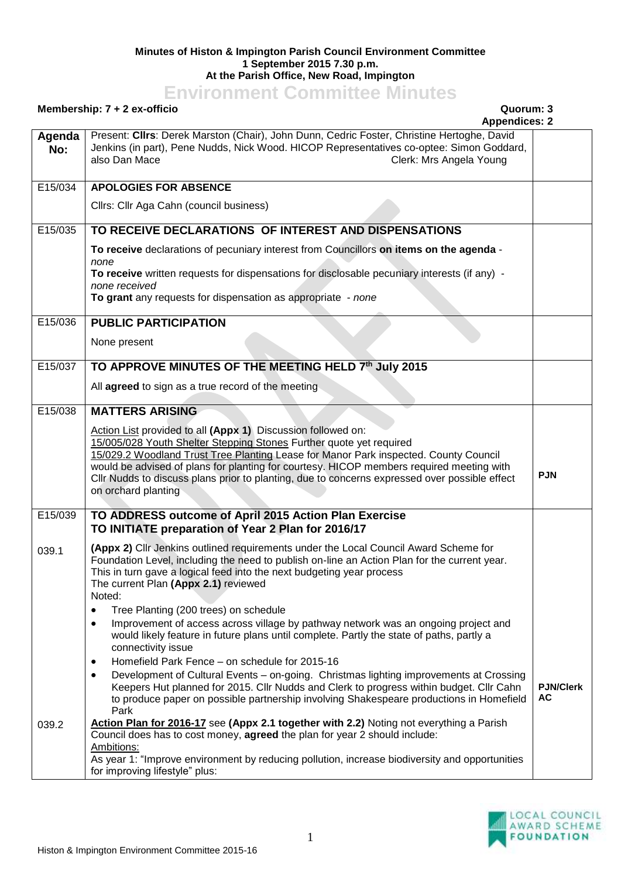## **Minutes of Histon & Impington Parish Council Environment Committee 1 September 2015 7.30 p.m. At the Parish Office, New Road, Impington**

## **Environment Committee Minutes**

## **Membership: 7 + 2 ex-officio Quorum: 3**

|               | <b>Appendices: 2</b>                                                                                                                                                                                                                                                                                                                                                                                                                            |                        |  |
|---------------|-------------------------------------------------------------------------------------------------------------------------------------------------------------------------------------------------------------------------------------------------------------------------------------------------------------------------------------------------------------------------------------------------------------------------------------------------|------------------------|--|
| Agenda<br>No: | Present: Clirs: Derek Marston (Chair), John Dunn, Cedric Foster, Christine Hertoghe, David<br>Jenkins (in part), Pene Nudds, Nick Wood. HICOP Representatives co-optee: Simon Goddard,<br>also Dan Mace<br>Clerk: Mrs Angela Young                                                                                                                                                                                                              |                        |  |
| E15/034       | <b>APOLOGIES FOR ABSENCE</b>                                                                                                                                                                                                                                                                                                                                                                                                                    |                        |  |
|               | Cllrs: Cllr Aga Cahn (council business)                                                                                                                                                                                                                                                                                                                                                                                                         |                        |  |
| E15/035       | TO RECEIVE DECLARATIONS OF INTEREST AND DISPENSATIONS                                                                                                                                                                                                                                                                                                                                                                                           |                        |  |
|               | To receive declarations of pecuniary interest from Councillors on items on the agenda -                                                                                                                                                                                                                                                                                                                                                         |                        |  |
|               | none<br>To receive written requests for dispensations for disclosable pecuniary interests (if any) -                                                                                                                                                                                                                                                                                                                                            |                        |  |
|               | none received                                                                                                                                                                                                                                                                                                                                                                                                                                   |                        |  |
|               | To grant any requests for dispensation as appropriate - none                                                                                                                                                                                                                                                                                                                                                                                    |                        |  |
| E15/036       | <b>PUBLIC PARTICIPATION</b>                                                                                                                                                                                                                                                                                                                                                                                                                     |                        |  |
|               | None present                                                                                                                                                                                                                                                                                                                                                                                                                                    |                        |  |
| E15/037       | TO APPROVE MINUTES OF THE MEETING HELD 7th July 2015                                                                                                                                                                                                                                                                                                                                                                                            |                        |  |
|               | All agreed to sign as a true record of the meeting                                                                                                                                                                                                                                                                                                                                                                                              |                        |  |
| E15/038       | <b>MATTERS ARISING</b>                                                                                                                                                                                                                                                                                                                                                                                                                          |                        |  |
|               | Action List provided to all (Appx 1) Discussion followed on:<br>15/005/028 Youth Shelter Stepping Stones Further quote yet required<br>15/029.2 Woodland Trust Tree Planting Lease for Manor Park inspected. County Council<br>would be advised of plans for planting for courtesy. HICOP members required meeting with<br>CIIr Nudds to discuss plans prior to planting, due to concerns expressed over possible effect<br>on orchard planting | <b>PJN</b>             |  |
| E15/039       | TO ADDRESS outcome of April 2015 Action Plan Exercise<br>TO INITIATE preparation of Year 2 Plan for 2016/17                                                                                                                                                                                                                                                                                                                                     |                        |  |
| 039.1         | (Appx 2) Cllr Jenkins outlined requirements under the Local Council Award Scheme for<br>Foundation Level, including the need to publish on-line an Action Plan for the current year.<br>This in turn gave a logical feed into the next budgeting year process<br>The current Plan (Appx 2.1) reviewed<br>Noted:                                                                                                                                 |                        |  |
|               | Tree Planting (200 trees) on schedule<br>$\bullet$                                                                                                                                                                                                                                                                                                                                                                                              |                        |  |
|               | Improvement of access across village by pathway network was an ongoing project and<br>$\bullet$<br>would likely feature in future plans until complete. Partly the state of paths, partly a<br>connectivity issue                                                                                                                                                                                                                               |                        |  |
|               | Homefield Park Fence - on schedule for 2015-16<br>$\bullet$                                                                                                                                                                                                                                                                                                                                                                                     |                        |  |
|               | Development of Cultural Events - on-going. Christmas lighting improvements at Crossing<br>$\bullet$<br>Keepers Hut planned for 2015. Cllr Nudds and Clerk to progress within budget. Cllr Cahn<br>to produce paper on possible partnership involving Shakespeare productions in Homefield<br>Park                                                                                                                                               | <b>PJN/Clerk</b><br>AC |  |
| 039.2         | Action Plan for 2016-17 see (Appx 2.1 together with 2.2) Noting not everything a Parish<br>Council does has to cost money, agreed the plan for year 2 should include:<br>Ambitions:                                                                                                                                                                                                                                                             |                        |  |
|               | As year 1: "Improve environment by reducing pollution, increase biodiversity and opportunities<br>for improving lifestyle" plus:                                                                                                                                                                                                                                                                                                                |                        |  |

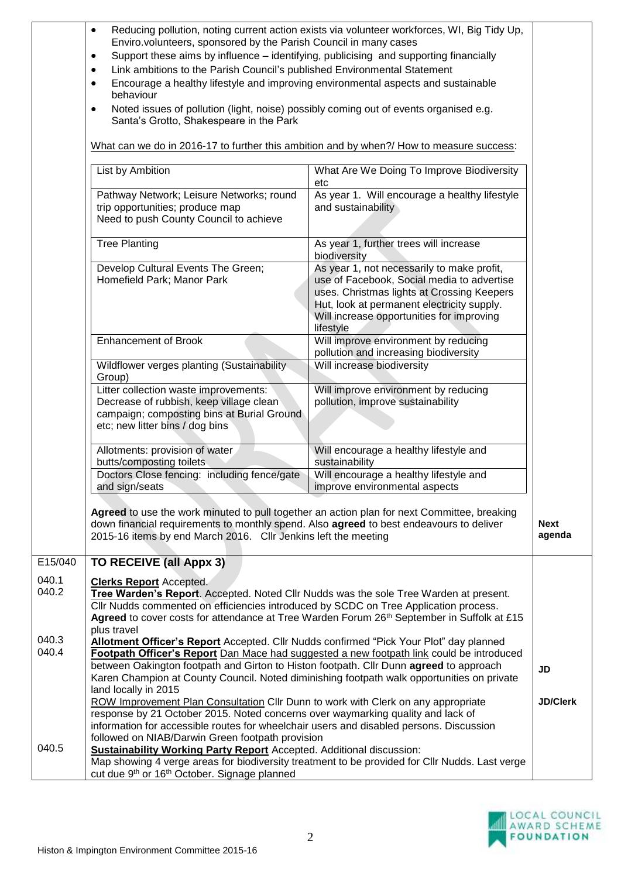|                | Reducing pollution, noting current action exists via volunteer workforces, WI, Big Tidy Up,<br>$\bullet$<br>Enviro. volunteers, sponsored by the Parish Council in many cases<br>Support these aims by influence - identifying, publicising and supporting financially<br>٠<br>Link ambitions to the Parish Council's published Environmental Statement<br>$\bullet$<br>Encourage a healthy lifestyle and improving environmental aspects and sustainable<br>$\bullet$<br>behaviour<br>Noted issues of pollution (light, noise) possibly coming out of events organised e.g.<br>$\bullet$<br>Santa's Grotto, Shakespeare in the Park<br>What can we do in 2016-17 to further this ambition and by when?/ How to measure success: |                                                                                                                                                                                                                                                |                       |  |
|----------------|----------------------------------------------------------------------------------------------------------------------------------------------------------------------------------------------------------------------------------------------------------------------------------------------------------------------------------------------------------------------------------------------------------------------------------------------------------------------------------------------------------------------------------------------------------------------------------------------------------------------------------------------------------------------------------------------------------------------------------|------------------------------------------------------------------------------------------------------------------------------------------------------------------------------------------------------------------------------------------------|-----------------------|--|
|                | List by Ambition                                                                                                                                                                                                                                                                                                                                                                                                                                                                                                                                                                                                                                                                                                                 | What Are We Doing To Improve Biodiversity<br>etc                                                                                                                                                                                               |                       |  |
|                | Pathway Network; Leisure Networks; round<br>trip opportunities; produce map<br>Need to push County Council to achieve                                                                                                                                                                                                                                                                                                                                                                                                                                                                                                                                                                                                            | As year 1. Will encourage a healthy lifestyle<br>and sustainability                                                                                                                                                                            |                       |  |
|                | <b>Tree Planting</b>                                                                                                                                                                                                                                                                                                                                                                                                                                                                                                                                                                                                                                                                                                             | As year 1, further trees will increase<br>biodiversity                                                                                                                                                                                         |                       |  |
|                | Develop Cultural Events The Green;<br>Homefield Park; Manor Park                                                                                                                                                                                                                                                                                                                                                                                                                                                                                                                                                                                                                                                                 | As year 1, not necessarily to make profit,<br>use of Facebook, Social media to advertise<br>uses. Christmas lights at Crossing Keepers<br>Hut, look at permanent electricity supply.<br>Will increase opportunities for improving<br>lifestyle |                       |  |
|                | <b>Enhancement of Brook</b>                                                                                                                                                                                                                                                                                                                                                                                                                                                                                                                                                                                                                                                                                                      | Will improve environment by reducing<br>pollution and increasing biodiversity                                                                                                                                                                  |                       |  |
|                | Wildflower verges planting (Sustainability<br>Group)                                                                                                                                                                                                                                                                                                                                                                                                                                                                                                                                                                                                                                                                             | Will increase biodiversity                                                                                                                                                                                                                     |                       |  |
|                | Litter collection waste improvements:<br>Decrease of rubbish, keep village clean<br>campaign; composting bins at Burial Ground<br>etc; new litter bins / dog bins                                                                                                                                                                                                                                                                                                                                                                                                                                                                                                                                                                | Will improve environment by reducing<br>pollution, improve sustainability                                                                                                                                                                      |                       |  |
|                | Allotments: provision of water<br>butts/composting toilets                                                                                                                                                                                                                                                                                                                                                                                                                                                                                                                                                                                                                                                                       | Will encourage a healthy lifestyle and<br>sustainability                                                                                                                                                                                       |                       |  |
|                | Doctors Close fencing: including fence/gate<br>and sign/seats                                                                                                                                                                                                                                                                                                                                                                                                                                                                                                                                                                                                                                                                    | Will encourage a healthy lifestyle and<br>improve environmental aspects                                                                                                                                                                        |                       |  |
|                | Agreed to use the work minuted to pull together an action plan for next Committee, breaking<br>down financial requirements to monthly spend. Also agreed to best endeavours to deliver<br>2015-16 items by end March 2016. Cllr Jenkins left the meeting                                                                                                                                                                                                                                                                                                                                                                                                                                                                         |                                                                                                                                                                                                                                                | <b>Next</b><br>agenda |  |
| E15/040        | <b>TO RECEIVE (all Appx 3)</b>                                                                                                                                                                                                                                                                                                                                                                                                                                                                                                                                                                                                                                                                                                   |                                                                                                                                                                                                                                                |                       |  |
| 040.1<br>040.2 | <b>Clerks Report Accepted.</b><br>Tree Warden's Report. Accepted. Noted Cllr Nudds was the sole Tree Warden at present.<br>Cllr Nudds commented on efficiencies introduced by SCDC on Tree Application process.<br>Agreed to cover costs for attendance at Tree Warden Forum 26th September in Suffolk at £15                                                                                                                                                                                                                                                                                                                                                                                                                    |                                                                                                                                                                                                                                                |                       |  |
| 040.3<br>040.4 | plus travel<br>Allotment Officer's Report Accepted. Cllr Nudds confirmed "Pick Your Plot" day planned                                                                                                                                                                                                                                                                                                                                                                                                                                                                                                                                                                                                                            |                                                                                                                                                                                                                                                |                       |  |
|                | Footpath Officer's Report Dan Mace had suggested a new footpath link could be introduced<br>between Oakington footpath and Girton to Histon footpath. Cllr Dunn agreed to approach<br>Karen Champion at County Council. Noted diminishing footpath walk opportunities on private                                                                                                                                                                                                                                                                                                                                                                                                                                                 |                                                                                                                                                                                                                                                |                       |  |
|                | land locally in 2015<br>ROW Improvement Plan Consultation Cllr Dunn to work with Clerk on any appropriate<br>response by 21 October 2015. Noted concerns over waymarking quality and lack of                                                                                                                                                                                                                                                                                                                                                                                                                                                                                                                                     |                                                                                                                                                                                                                                                |                       |  |
| 040.5          | information for accessible routes for wheelchair users and disabled persons. Discussion<br>followed on NIAB/Darwin Green footpath provision<br><b>Sustainability Working Party Report</b> Accepted. Additional discussion:<br>Map showing 4 verge areas for biodiversity treatment to be provided for Cllr Nudds. Last verge<br>cut due 9 <sup>th</sup> or 16 <sup>th</sup> October. Signage planned                                                                                                                                                                                                                                                                                                                             |                                                                                                                                                                                                                                                |                       |  |